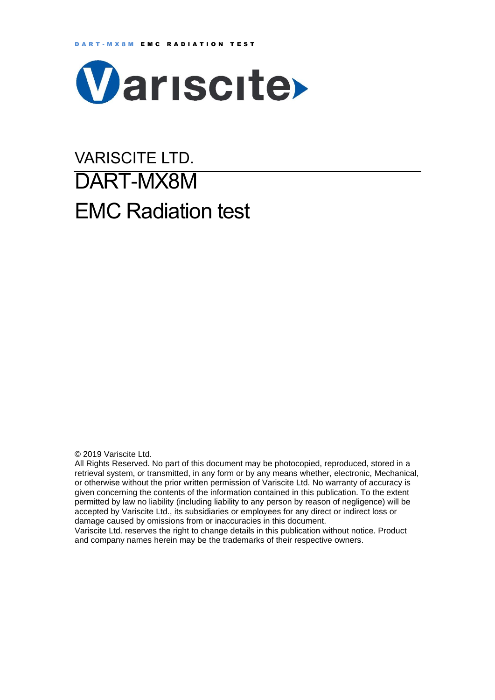

# VARISCITE LTD. DART-MX8M EMC Radiation test

© 2019 Variscite Ltd.

All Rights Reserved. No part of this document may be photocopied, reproduced, stored in a retrieval system, or transmitted, in any form or by any means whether, electronic, Mechanical, or otherwise without the prior written permission of Variscite Ltd. No warranty of accuracy is given concerning the contents of the information contained in this publication. To the extent permitted by law no liability (including liability to any person by reason of negligence) will be accepted by Variscite Ltd., its subsidiaries or employees for any direct or indirect loss or damage caused by omissions from or inaccuracies in this document.

Variscite Ltd. reserves the right to change details in this publication without notice. Product and company names herein may be the trademarks of their respective owners.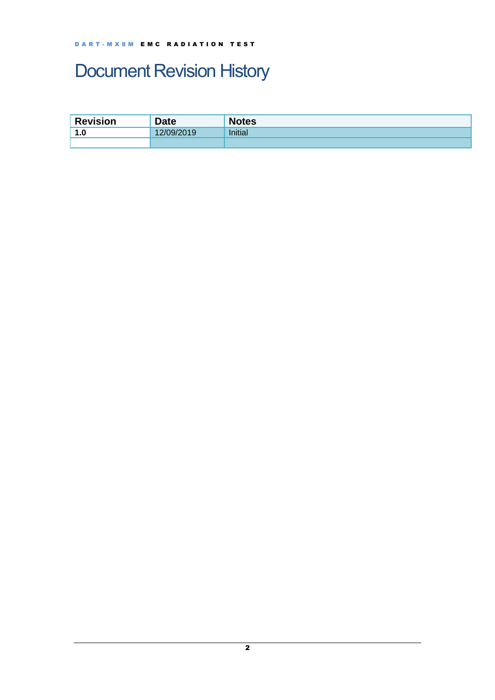# <span id="page-1-0"></span>Document Revision History

| <b>Revision</b> | <b>Date</b> | <b>Notes</b> |
|-----------------|-------------|--------------|
| 1.0             | 12/09/2019  | Initial      |
|                 |             |              |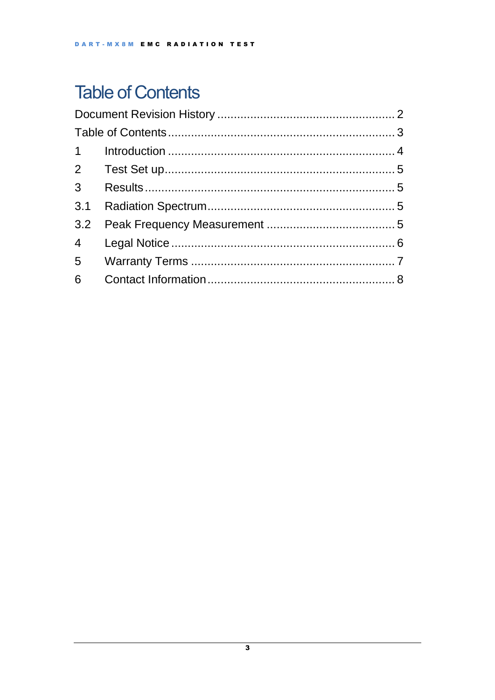# <span id="page-2-0"></span>**Table of Contents**

| $3^{\circ}$ |  |  |  |  |  |
|-------------|--|--|--|--|--|
| 3.1         |  |  |  |  |  |
|             |  |  |  |  |  |
|             |  |  |  |  |  |
|             |  |  |  |  |  |
| 6           |  |  |  |  |  |
|             |  |  |  |  |  |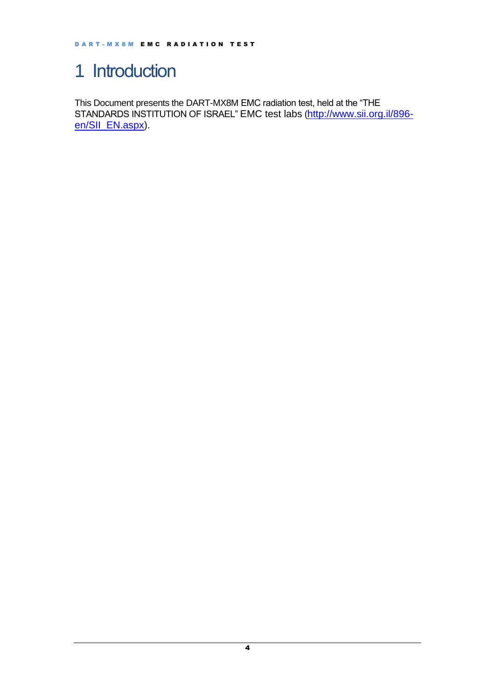## <span id="page-3-0"></span>1 Introduction

This Document presents the DART-MX8M EMC radiation test, held at the "THE STANDARDS INSTITUTION OF ISRAEL" EMC test labs ([http://www.sii.org.il/896](http://www.sii.org.il/896-en/SII_EN.aspx) [en/SII\\_EN.aspx\)](http://www.sii.org.il/896-en/SII_EN.aspx).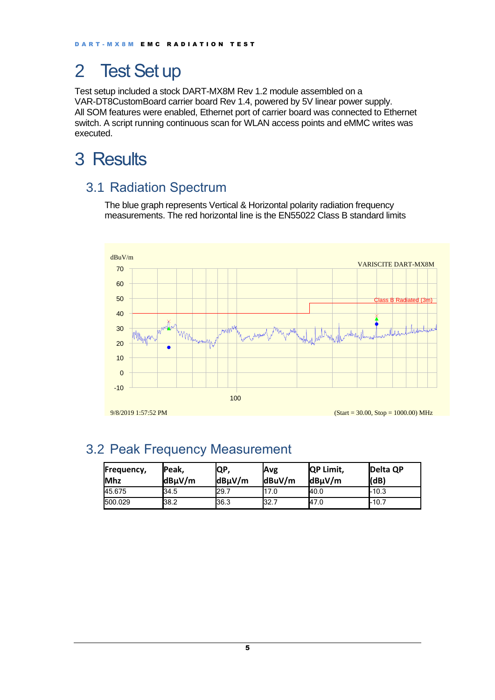## <span id="page-4-0"></span>2 Test Set up

Test setup included a stock DART-MX8M Rev 1.2 module assembled on a VAR-DT8CustomBoard carrier board Rev 1.4, powered by 5V linear power supply. All SOM features were enabled, Ethernet port of carrier board was connected to Ethernet switch. A script running continuous scan for WLAN access points and eMMC writes was executed.

## <span id="page-4-1"></span>3 Results

#### <span id="page-4-2"></span>3.1 Radiation Spectrum

The blue graph represents Vertical & Horizontal polarity radiation frequency measurements. The red horizontal line is the EN55022 Class B standard limits



#### <span id="page-4-3"></span>3.2 Peak Frequency Measurement

| Frequency,<br><b>Mhz</b> | Peak,<br>$dB\mu V/m$ | IQP,<br>dBµV/m | Avg<br>$d$ BuV/m | <b>QP Limit,</b><br>$dB\mu V/m$ | Delta QP<br>(dB) |
|--------------------------|----------------------|----------------|------------------|---------------------------------|------------------|
| 45.675                   | 34.5                 | 29.7           | 17.0             | 40.0                            | $-10.3$          |
| 500.029                  | 38.2                 | 36.3           | 32.7             | 47.0                            | $1-10.7$         |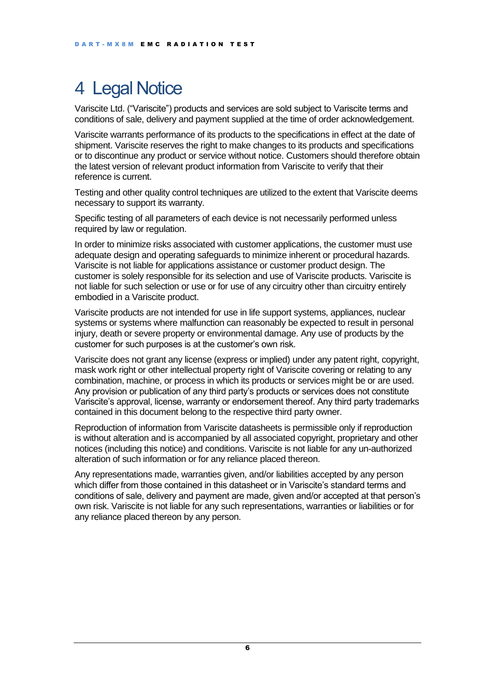## <span id="page-5-0"></span>4 Legal Notice

Variscite Ltd. ("Variscite") products and services are sold subject to Variscite terms and conditions of sale, delivery and payment supplied at the time of order acknowledgement.

Variscite warrants performance of its products to the specifications in effect at the date of shipment. Variscite reserves the right to make changes to its products and specifications or to discontinue any product or service without notice. Customers should therefore obtain the latest version of relevant product information from Variscite to verify that their reference is current.

Testing and other quality control techniques are utilized to the extent that Variscite deems necessary to support its warranty.

Specific testing of all parameters of each device is not necessarily performed unless required by law or regulation.

In order to minimize risks associated with customer applications, the customer must use adequate design and operating safeguards to minimize inherent or procedural hazards. Variscite is not liable for applications assistance or customer product design. The customer is solely responsible for its selection and use of Variscite products. Variscite is not liable for such selection or use or for use of any circuitry other than circuitry entirely embodied in a Variscite product.

Variscite products are not intended for use in life support systems, appliances, nuclear systems or systems where malfunction can reasonably be expected to result in personal injury, death or severe property or environmental damage. Any use of products by the customer for such purposes is at the customer's own risk.

Variscite does not grant any license (express or implied) under any patent right, copyright, mask work right or other intellectual property right of Variscite covering or relating to any combination, machine, or process in which its products or services might be or are used. Any provision or publication of any third party's products or services does not constitute Variscite's approval, license, warranty or endorsement thereof. Any third party trademarks contained in this document belong to the respective third party owner.

Reproduction of information from Variscite datasheets is permissible only if reproduction is without alteration and is accompanied by all associated copyright, proprietary and other notices (including this notice) and conditions. Variscite is not liable for any un-authorized alteration of such information or for any reliance placed thereon.

Any representations made, warranties given, and/or liabilities accepted by any person which differ from those contained in this datasheet or in Variscite's standard terms and conditions of sale, delivery and payment are made, given and/or accepted at that person's own risk. Variscite is not liable for any such representations, warranties or liabilities or for any reliance placed thereon by any person.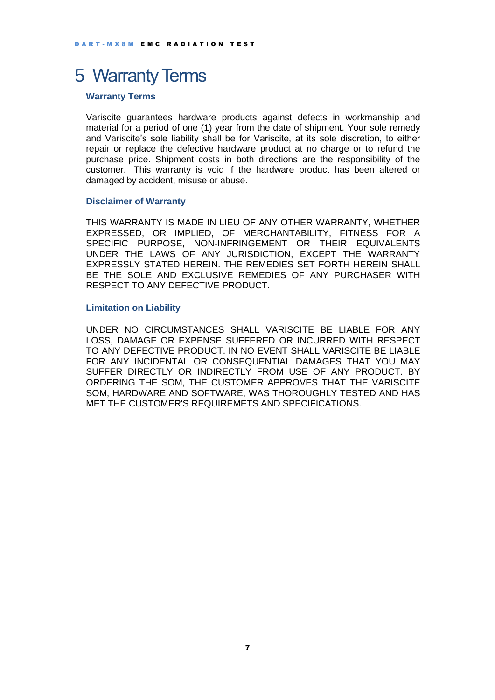### <span id="page-6-0"></span>5 Warranty Terms

#### **Warranty Terms**

Variscite guarantees hardware products against defects in workmanship and material for a period of one (1) year from the date of shipment. Your sole remedy and Variscite's sole liability shall be for Variscite, at its sole discretion, to either repair or replace the defective hardware product at no charge or to refund the purchase price. Shipment costs in both directions are the responsibility of the customer. This warranty is void if the hardware product has been altered or damaged by accident, misuse or abuse.

#### **Disclaimer of Warranty**

THIS WARRANTY IS MADE IN LIEU OF ANY OTHER WARRANTY, WHETHER EXPRESSED, OR IMPLIED, OF MERCHANTABILITY, FITNESS FOR A SPECIFIC PURPOSE, NON-INFRINGEMENT OR THEIR EQUIVALENTS UNDER THE LAWS OF ANY JURISDICTION, EXCEPT THE WARRANTY EXPRESSLY STATED HEREIN. THE REMEDIES SET FORTH HEREIN SHALL BE THE SOLE AND EXCLUSIVE REMEDIES OF ANY PURCHASER WITH RESPECT TO ANY DEFECTIVE PRODUCT.

#### **Limitation on Liability**

UNDER NO CIRCUMSTANCES SHALL VARISCITE BE LIABLE FOR ANY LOSS, DAMAGE OR EXPENSE SUFFERED OR INCURRED WITH RESPECT TO ANY DEFECTIVE PRODUCT. IN NO EVENT SHALL VARISCITE BE LIABLE FOR ANY INCIDENTAL OR CONSEQUENTIAL DAMAGES THAT YOU MAY SUFFER DIRECTLY OR INDIRECTLY FROM USE OF ANY PRODUCT. BY ORDERING THE SOM, THE CUSTOMER APPROVES THAT THE VARISCITE SOM, HARDWARE AND SOFTWARE, WAS THOROUGHLY TESTED AND HAS MET THE CUSTOMER'S REQUIREMETS AND SPECIFICATIONS.